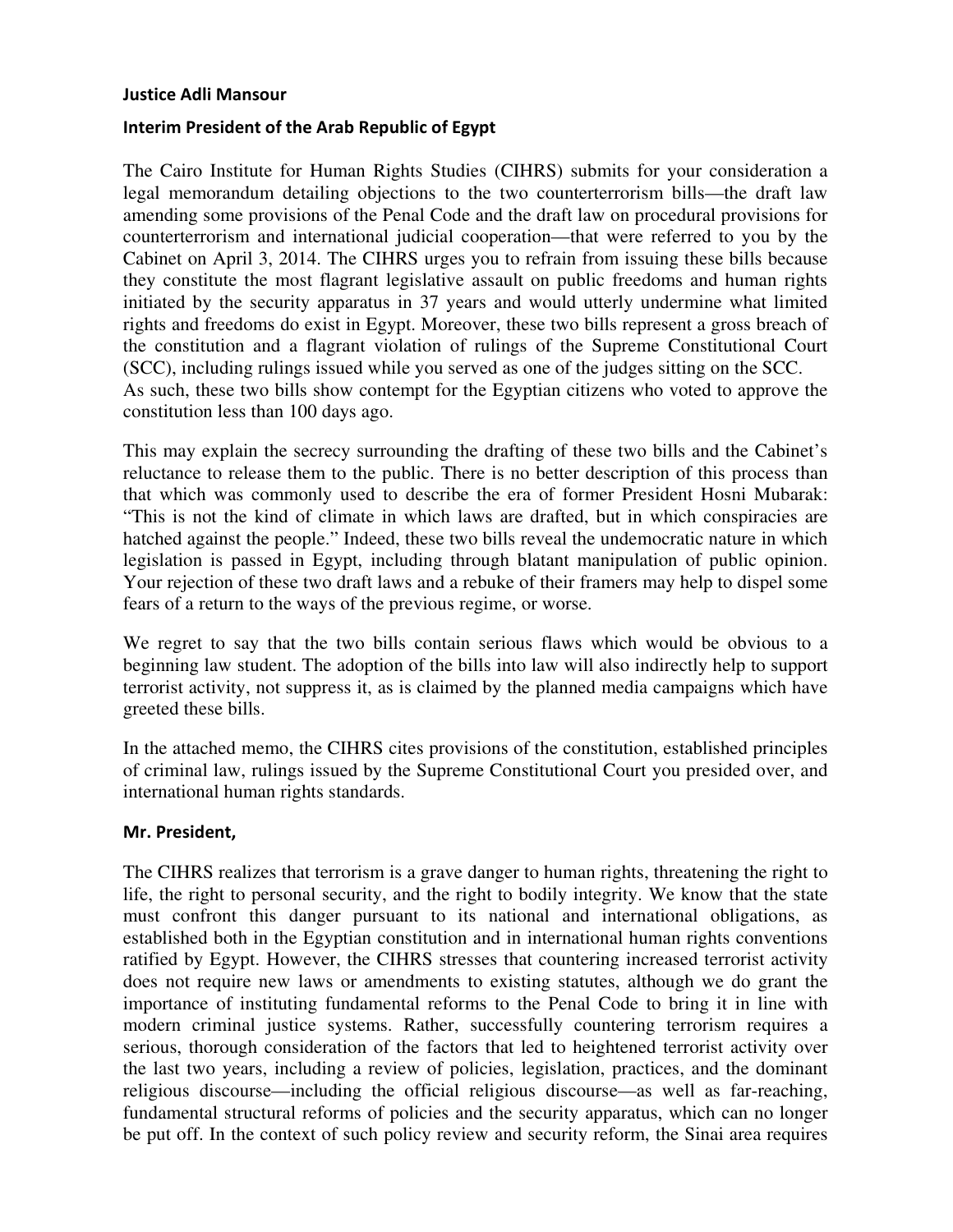#### Justice Adli Mansour

### Interim President of the Arab Republic of Egypt

The Cairo Institute for Human Rights Studies (CIHRS) submits for your consideration a legal memorandum detailing objections to the two counterterrorism bills—the draft law amending some provisions of the Penal Code and the draft law on procedural provisions for counterterrorism and international judicial cooperation—that were referred to you by the Cabinet on April 3, 2014. The CIHRS urges you to refrain from issuing these bills because they constitute the most flagrant legislative assault on public freedoms and human rights initiated by the security apparatus in 37 years and would utterly undermine what limited rights and freedoms do exist in Egypt. Moreover, these two bills represent a gross breach of the constitution and a flagrant violation of rulings of the Supreme Constitutional Court (SCC), including rulings issued while you served as one of the judges sitting on the SCC. As such, these two bills show contempt for the Egyptian citizens who voted to approve the constitution less than 100 days ago.

This may explain the secrecy surrounding the drafting of these two bills and the Cabinet's reluctance to release them to the public. There is no better description of this process than that which was commonly used to describe the era of former President Hosni Mubarak: "This is not the kind of climate in which laws are drafted, but in which conspiracies are hatched against the people." Indeed, these two bills reveal the undemocratic nature in which legislation is passed in Egypt, including through blatant manipulation of public opinion. Your rejection of these two draft laws and a rebuke of their framers may help to dispel some fears of a return to the ways of the previous regime, or worse.

We regret to say that the two bills contain serious flaws which would be obvious to a beginning law student. The adoption of the bills into law will also indirectly help to support terrorist activity, not suppress it, as is claimed by the planned media campaigns which have greeted these bills.

In the attached memo, the CIHRS cites provisions of the constitution, established principles of criminal law, rulings issued by the Supreme Constitutional Court you presided over, and international human rights standards.

### Mr. President,

The CIHRS realizes that terrorism is a grave danger to human rights, threatening the right to life, the right to personal security, and the right to bodily integrity. We know that the state must confront this danger pursuant to its national and international obligations, as established both in the Egyptian constitution and in international human rights conventions ratified by Egypt. However, the CIHRS stresses that countering increased terrorist activity does not require new laws or amendments to existing statutes, although we do grant the importance of instituting fundamental reforms to the Penal Code to bring it in line with modern criminal justice systems. Rather, successfully countering terrorism requires a serious, thorough consideration of the factors that led to heightened terrorist activity over the last two years, including a review of policies, legislation, practices, and the dominant religious discourse—including the official religious discourse—as well as far-reaching, fundamental structural reforms of policies and the security apparatus, which can no longer be put off. In the context of such policy review and security reform, the Sinai area requires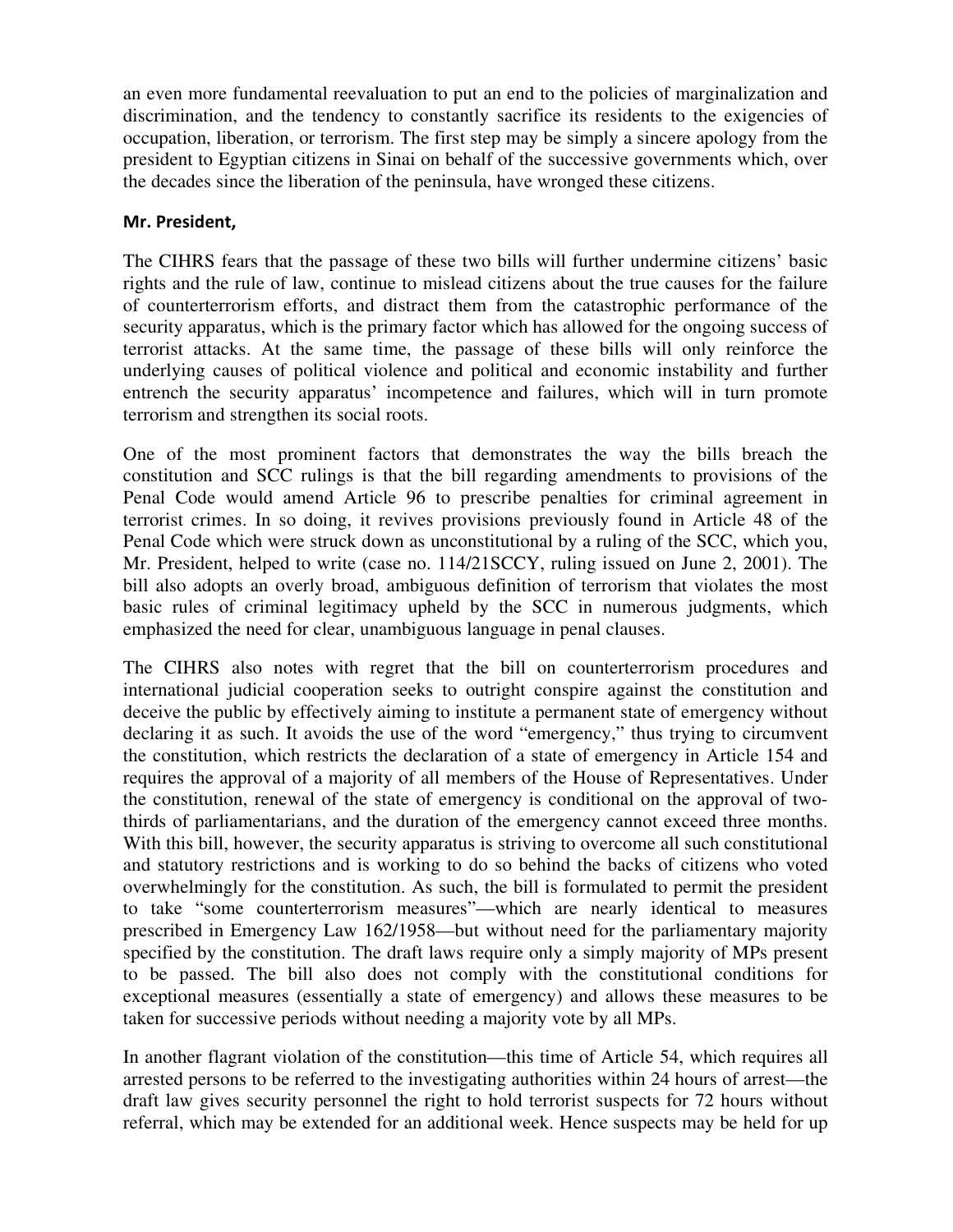an even more fundamental reevaluation to put an end to the policies of marginalization and discrimination, and the tendency to constantly sacrifice its residents to the exigencies of occupation, liberation, or terrorism. The first step may be simply a sincere apology from the president to Egyptian citizens in Sinai on behalf of the successive governments which, over the decades since the liberation of the peninsula, have wronged these citizens.

# Mr. President,

The CIHRS fears that the passage of these two bills will further undermine citizens' basic rights and the rule of law, continue to mislead citizens about the true causes for the failure of counterterrorism efforts, and distract them from the catastrophic performance of the security apparatus, which is the primary factor which has allowed for the ongoing success of terrorist attacks. At the same time, the passage of these bills will only reinforce the underlying causes of political violence and political and economic instability and further entrench the security apparatus' incompetence and failures, which will in turn promote terrorism and strengthen its social roots.

One of the most prominent factors that demonstrates the way the bills breach the constitution and SCC rulings is that the bill regarding amendments to provisions of the Penal Code would amend Article 96 to prescribe penalties for criminal agreement in terrorist crimes. In so doing, it revives provisions previously found in Article 48 of the Penal Code which were struck down as unconstitutional by a ruling of the SCC, which you, Mr. President, helped to write (case no. 114/21SCCY, ruling issued on June 2, 2001). The bill also adopts an overly broad, ambiguous definition of terrorism that violates the most basic rules of criminal legitimacy upheld by the SCC in numerous judgments, which emphasized the need for clear, unambiguous language in penal clauses.

The CIHRS also notes with regret that the bill on counterterrorism procedures and international judicial cooperation seeks to outright conspire against the constitution and deceive the public by effectively aiming to institute a permanent state of emergency without declaring it as such. It avoids the use of the word "emergency," thus trying to circumvent the constitution, which restricts the declaration of a state of emergency in Article 154 and requires the approval of a majority of all members of the House of Representatives. Under the constitution, renewal of the state of emergency is conditional on the approval of twothirds of parliamentarians, and the duration of the emergency cannot exceed three months. With this bill, however, the security apparatus is striving to overcome all such constitutional and statutory restrictions and is working to do so behind the backs of citizens who voted overwhelmingly for the constitution. As such, the bill is formulated to permit the president to take "some counterterrorism measures"—which are nearly identical to measures prescribed in Emergency Law 162/1958—but without need for the parliamentary majority specified by the constitution. The draft laws require only a simply majority of MPs present to be passed. The bill also does not comply with the constitutional conditions for exceptional measures (essentially a state of emergency) and allows these measures to be taken for successive periods without needing a majority vote by all MPs.

In another flagrant violation of the constitution—this time of Article 54, which requires all arrested persons to be referred to the investigating authorities within 24 hours of arrest—the draft law gives security personnel the right to hold terrorist suspects for 72 hours without referral, which may be extended for an additional week. Hence suspects may be held for up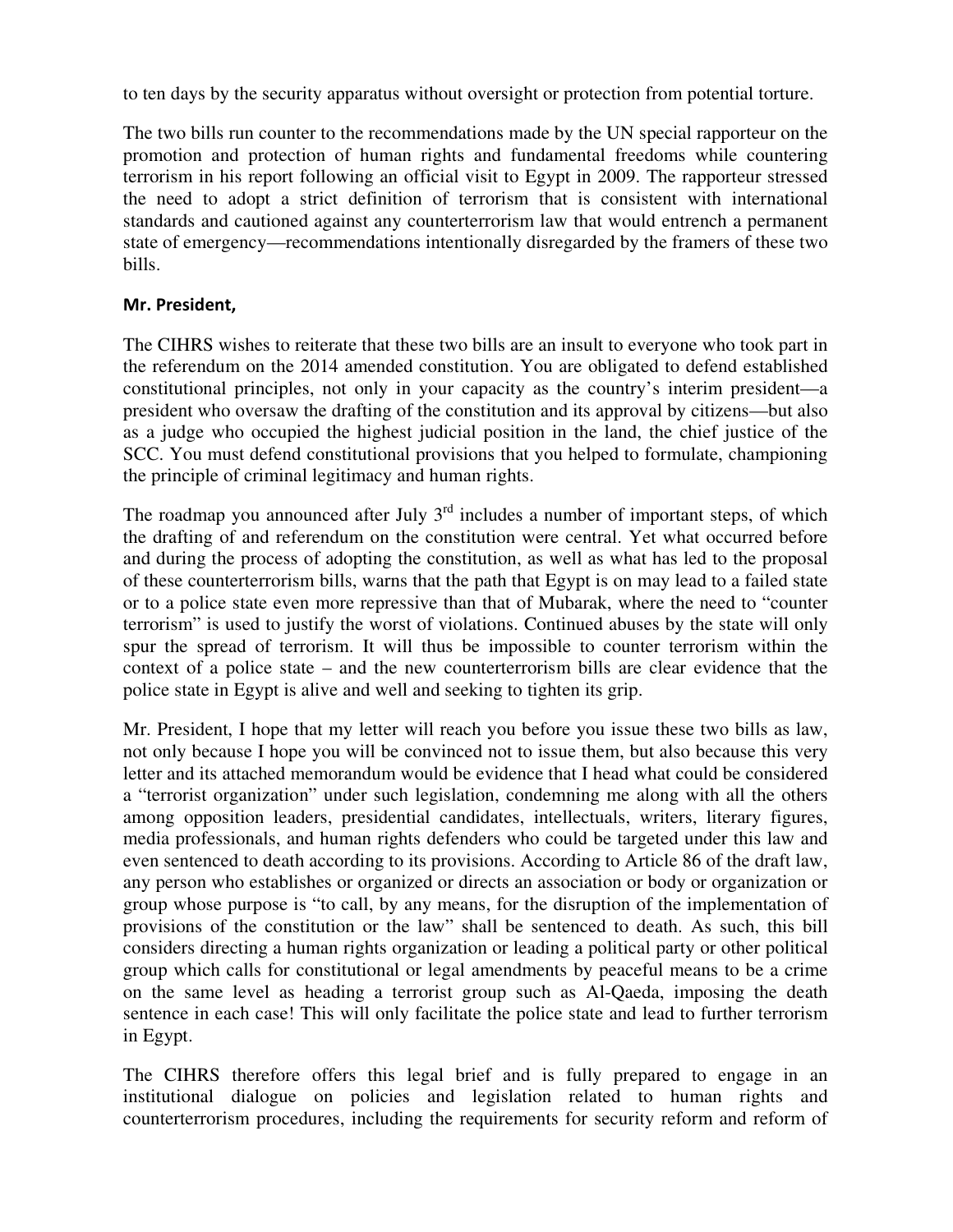to ten days by the security apparatus without oversight or protection from potential torture.

The two bills run counter to the recommendations made by the UN special rapporteur on the promotion and protection of human rights and fundamental freedoms while countering terrorism in his report following an official visit to Egypt in 2009. The rapporteur stressed the need to adopt a strict definition of terrorism that is consistent with international standards and cautioned against any counterterrorism law that would entrench a permanent state of emergency—recommendations intentionally disregarded by the framers of these two bills.

# Mr. President,

The CIHRS wishes to reiterate that these two bills are an insult to everyone who took part in the referendum on the 2014 amended constitution. You are obligated to defend established constitutional principles, not only in your capacity as the country's interim president—a president who oversaw the drafting of the constitution and its approval by citizens—but also as a judge who occupied the highest judicial position in the land, the chief justice of the SCC. You must defend constitutional provisions that you helped to formulate, championing the principle of criminal legitimacy and human rights.

The roadmap you announced after July  $3<sup>rd</sup>$  includes a number of important steps, of which the drafting of and referendum on the constitution were central. Yet what occurred before and during the process of adopting the constitution, as well as what has led to the proposal of these counterterrorism bills, warns that the path that Egypt is on may lead to a failed state or to a police state even more repressive than that of Mubarak, where the need to "counter terrorism" is used to justify the worst of violations. Continued abuses by the state will only spur the spread of terrorism. It will thus be impossible to counter terrorism within the context of a police state – and the new counterterrorism bills are clear evidence that the police state in Egypt is alive and well and seeking to tighten its grip.

Mr. President, I hope that my letter will reach you before you issue these two bills as law, not only because I hope you will be convinced not to issue them, but also because this very letter and its attached memorandum would be evidence that I head what could be considered a "terrorist organization" under such legislation, condemning me along with all the others among opposition leaders, presidential candidates, intellectuals, writers, literary figures, media professionals, and human rights defenders who could be targeted under this law and even sentenced to death according to its provisions. According to Article 86 of the draft law, any person who establishes or organized or directs an association or body or organization or group whose purpose is "to call, by any means, for the disruption of the implementation of provisions of the constitution or the law" shall be sentenced to death. As such, this bill considers directing a human rights organization or leading a political party or other political group which calls for constitutional or legal amendments by peaceful means to be a crime on the same level as heading a terrorist group such as Al-Qaeda, imposing the death sentence in each case! This will only facilitate the police state and lead to further terrorism in Egypt.

The CIHRS therefore offers this legal brief and is fully prepared to engage in an institutional dialogue on policies and legislation related to human rights and counterterrorism procedures, including the requirements for security reform and reform of